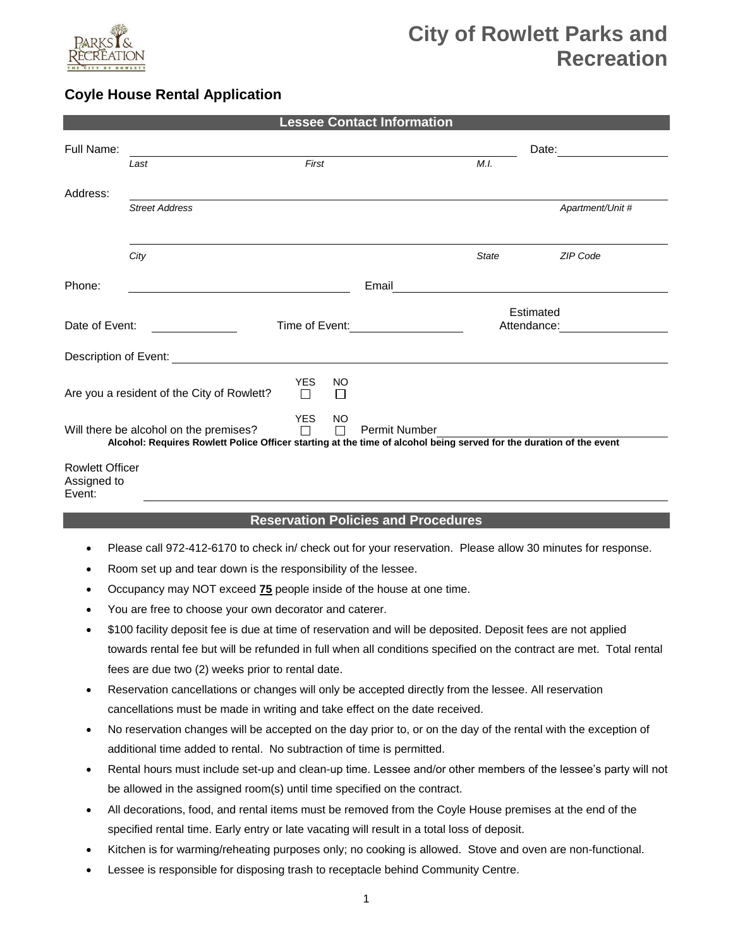

# **City of Rowlett Parks and Recreation**

## **Coyle House Rental Application**

|                                            | <b>Lessee Contact Information</b>                                                                                                                             |                      |                |                          |              |                  |  |  |  |
|--------------------------------------------|---------------------------------------------------------------------------------------------------------------------------------------------------------------|----------------------|----------------|--------------------------|--------------|------------------|--|--|--|
| Full Name:                                 |                                                                                                                                                               |                      |                |                          |              | Date:            |  |  |  |
|                                            | Last                                                                                                                                                          | First                |                |                          | M.I.         |                  |  |  |  |
| Address:                                   |                                                                                                                                                               |                      |                |                          |              |                  |  |  |  |
|                                            | <b>Street Address</b>                                                                                                                                         |                      |                |                          |              | Apartment/Unit # |  |  |  |
|                                            | City                                                                                                                                                          |                      |                |                          | <b>State</b> | <b>ZIP Code</b>  |  |  |  |
| Phone:                                     |                                                                                                                                                               |                      |                | Email                    |              |                  |  |  |  |
| Date of Event:<br>Time of Event:           |                                                                                                                                                               |                      |                | Estimated<br>Attendance: |              |                  |  |  |  |
| Description of Event:                      |                                                                                                                                                               |                      |                |                          |              |                  |  |  |  |
| Are you a resident of the City of Rowlett? |                                                                                                                                                               | <b>YES</b><br>П      | NO<br>П        |                          |              |                  |  |  |  |
|                                            | Will there be alcohol on the premises?<br>Alcohol: Requires Rowlett Police Officer starting at the time of alcohol being served for the duration of the event | <b>YES</b><br>$\Box$ | <b>NO</b><br>П | Permit Number            |              |                  |  |  |  |
| <b>Rowlett Officer</b><br>Assigned to      |                                                                                                                                                               |                      |                |                          |              |                  |  |  |  |

Event:

#### **Reservation Policies and Procedures**

- Please call 972-412-6170 to check in/ check out for your reservation. Please allow 30 minutes for response.
- Room set up and tear down is the responsibility of the lessee.
- Occupancy may NOT exceed **75** people inside of the house at one time.
- You are free to choose your own decorator and caterer.
- \$100 facility deposit fee is due at time of reservation and will be deposited. Deposit fees are not applied towards rental fee but will be refunded in full when all conditions specified on the contract are met. Total rental fees are due two (2) weeks prior to rental date.
- Reservation cancellations or changes will only be accepted directly from the lessee. All reservation cancellations must be made in writing and take effect on the date received.
- No reservation changes will be accepted on the day prior to, or on the day of the rental with the exception of additional time added to rental. No subtraction of time is permitted.
- Rental hours must include set-up and clean-up time. Lessee and/or other members of the lessee's party will not be allowed in the assigned room(s) until time specified on the contract.
- All decorations, food, and rental items must be removed from the Coyle House premises at the end of the specified rental time. Early entry or late vacating will result in a total loss of deposit.
- Kitchen is for warming/reheating purposes only; no cooking is allowed. Stove and oven are non-functional.
- Lessee is responsible for disposing trash to receptacle behind Community Centre.